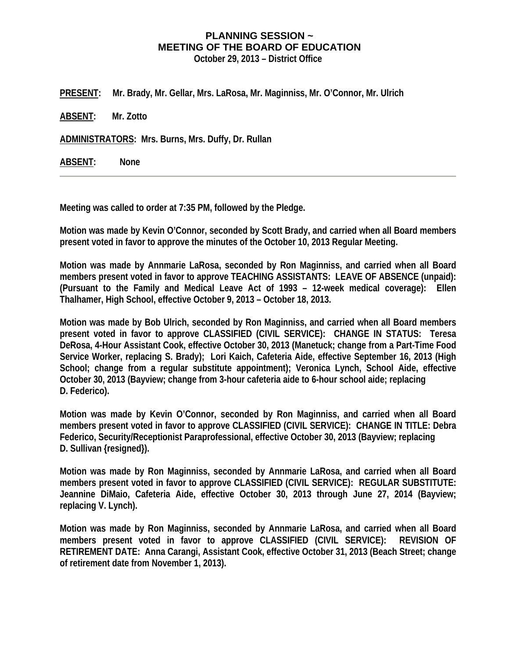## **PLANNING SESSION ~ MEETING OF THE BOARD OF EDUCATION**

**October 29, 2013 – District Office** 

**PRESENT: Mr. Brady, Mr. Gellar, Mrs. LaRosa, Mr. Maginniss, Mr. O'Connor, Mr. Ulrich** 

**ABSENT: Mr. Zotto** 

**ADMINISTRATORS: Mrs. Burns, Mrs. Duffy, Dr. Rullan** 

**ABSENT: None** 

**Meeting was called to order at 7:35 PM, followed by the Pledge.** 

**Motion was made by Kevin O'Connor, seconded by Scott Brady, and carried when all Board members present voted in favor to approve the minutes of the October 10, 2013 Regular Meeting.** 

**Motion was made by Annmarie LaRosa, seconded by Ron Maginniss, and carried when all Board members present voted in favor to approve TEACHING ASSISTANTS: LEAVE OF ABSENCE (unpaid): (Pursuant to the Family and Medical Leave Act of 1993 – 12-week medical coverage): Ellen Thalhamer, High School, effective October 9, 2013 – October 18, 2013.** 

**Motion was made by Bob Ulrich, seconded by Ron Maginniss, and carried when all Board members present voted in favor to approve CLASSIFIED (CIVIL SERVICE): CHANGE IN STATUS: Teresa DeRosa, 4-Hour Assistant Cook, effective October 30, 2013 (Manetuck; change from a Part-Time Food Service Worker, replacing S. Brady); Lori Kaich, Cafeteria Aide, effective September 16, 2013 (High School; change from a regular substitute appointment); Veronica Lynch, School Aide, effective October 30, 2013 (Bayview; change from 3-hour cafeteria aide to 6-hour school aide; replacing D. Federico).** 

**Motion was made by Kevin O'Connor, seconded by Ron Maginniss, and carried when all Board members present voted in favor to approve CLASSIFIED (CIVIL SERVICE): CHANGE IN TITLE: Debra Federico, Security/Receptionist Paraprofessional, effective October 30, 2013 (Bayview; replacing D. Sullivan {resigned}).** 

**Motion was made by Ron Maginniss, seconded by Annmarie LaRosa, and carried when all Board members present voted in favor to approve CLASSIFIED (CIVIL SERVICE): REGULAR SUBSTITUTE: Jeannine DiMaio, Cafeteria Aide, effective October 30, 2013 through June 27, 2014 (Bayview; replacing V. Lynch).** 

**Motion was made by Ron Maginniss, seconded by Annmarie LaRosa, and carried when all Board members present voted in favor to approve CLASSIFIED (CIVIL SERVICE): REVISION OF RETIREMENT DATE: Anna Carangi, Assistant Cook, effective October 31, 2013 (Beach Street; change of retirement date from November 1, 2013).**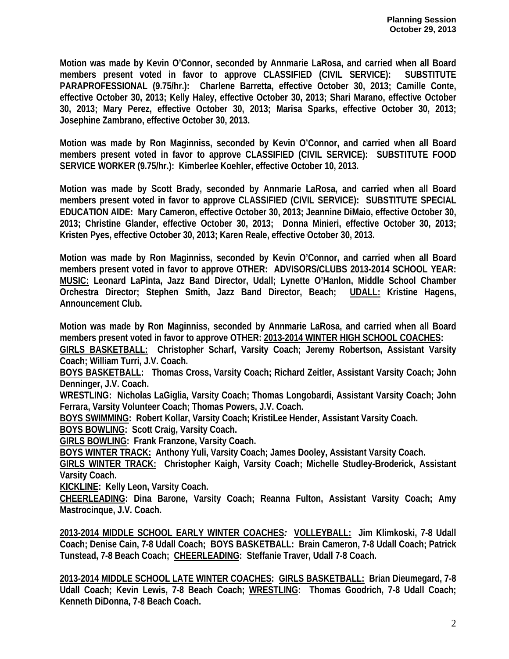**Motion was made by Kevin O'Connor, seconded by Annmarie LaRosa, and carried when all Board members present voted in favor to approve CLASSIFIED (CIVIL SERVICE): SUBSTITUTE PARAPROFESSIONAL (9.75/hr.): Charlene Barretta, effective October 30, 2013; Camille Conte, effective October 30, 2013; Kelly Haley, effective October 30, 2013; Shari Marano, effective October 30, 2013; Mary Perez, effective October 30, 2013; Marisa Sparks, effective October 30, 2013; Josephine Zambrano, effective October 30, 2013.** 

**Motion was made by Ron Maginniss, seconded by Kevin O'Connor, and carried when all Board members present voted in favor to approve CLASSIFIED (CIVIL SERVICE): SUBSTITUTE FOOD SERVICE WORKER (9.75/hr.): Kimberlee Koehler, effective October 10, 2013.** 

**Motion was made by Scott Brady, seconded by Annmarie LaRosa, and carried when all Board members present voted in favor to approve CLASSIFIED (CIVIL SERVICE): SUBSTITUTE SPECIAL EDUCATION AIDE: Mary Cameron, effective October 30, 2013; Jeannine DiMaio, effective October 30, 2013; Christine Glander, effective October 30, 2013; Donna Minieri, effective October 30, 2013; Kristen Pyes, effective October 30, 2013; Karen Reale, effective October 30, 2013.** 

**Motion was made by Ron Maginniss, seconded by Kevin O'Connor, and carried when all Board members present voted in favor to approve OTHER: ADVISORS/CLUBS 2013-2014 SCHOOL YEAR: MUSIC: Leonard LaPinta, Jazz Band Director, Udall; Lynette O'Hanlon, Middle School Chamber Orchestra Director; Stephen Smith, Jazz Band Director, Beach; UDALL: Kristine Hagens, Announcement Club.** 

**Motion was made by Ron Maginniss, seconded by Annmarie LaRosa, and carried when all Board members present voted in favor to approve OTHER: 2013-2014 WINTER HIGH SCHOOL COACHES:** 

**GIRLS BASKETBALL: Christopher Scharf, Varsity Coach; Jeremy Robertson, Assistant Varsity Coach; William Turri, J.V. Coach.** 

**BOYS BASKETBALL: Thomas Cross, Varsity Coach; Richard Zeitler, Assistant Varsity Coach; John Denninger, J.V. Coach.** 

**WRESTLING: Nicholas LaGiglia, Varsity Coach; Thomas Longobardi, Assistant Varsity Coach; John Ferrara, Varsity Volunteer Coach; Thomas Powers, J.V. Coach.** 

**BOYS SWIMMING: Robert Kollar, Varsity Coach; KristiLee Hender, Assistant Varsity Coach.** 

**BOYS BOWLING: Scott Craig, Varsity Coach.** 

**GIRLS BOWLING: Frank Franzone, Varsity Coach.** 

**BOYS WINTER TRACK: Anthony Yuli, Varsity Coach; James Dooley, Assistant Varsity Coach.** 

**GIRLS WINTER TRACK: Christopher Kaigh, Varsity Coach; Michelle Studley-Broderick, Assistant Varsity Coach.** 

**KICKLINE: Kelly Leon, Varsity Coach.** 

**CHEERLEADING: Dina Barone, Varsity Coach; Reanna Fulton, Assistant Varsity Coach; Amy Mastrocinque, J.V. Coach.** 

**2013-2014 MIDDLE SCHOOL EARLY WINTER COACHES***:* **VOLLEYBALL: Jim Klimkoski, 7-8 Udall Coach; Denise Cain, 7-8 Udall Coach; BOYS BASKETBALL: Brain Cameron, 7-8 Udall Coach; Patrick Tunstead, 7-8 Beach Coach; CHEERLEADING: Steffanie Traver, Udall 7-8 Coach.** 

**2013-2014 MIDDLE SCHOOL LATE WINTER COACHES: GIRLS BASKETBALL: Brian Dieumegard, 7-8 Udall Coach; Kevin Lewis, 7-8 Beach Coach; WRESTLING: Thomas Goodrich, 7-8 Udall Coach; Kenneth DiDonna, 7-8 Beach Coach.**